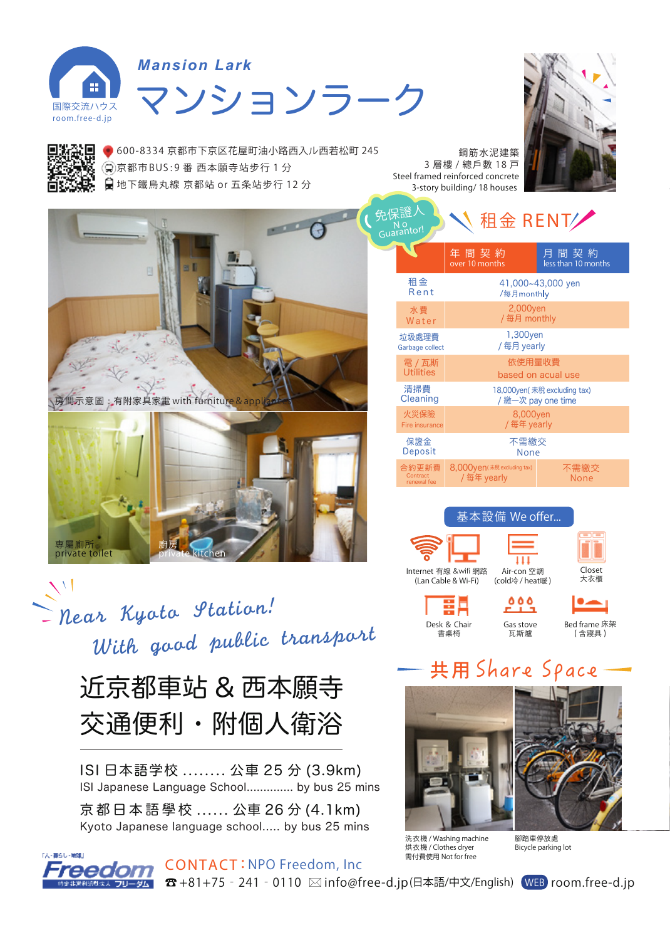

## マンションラーク *Mansion Lark*



**600-8334 京都市下京区花屋町油小路西入ル西若松町 245 京都市BUS : 9 番 西本願寺站步行 1 分 地下鐵烏丸線 京都站 or 五条站步行 12 分**



 $\sum$ near Kyota Station! With good public transport

> 近京都車站 & 西本願寺 交通便利・附個人衛浴

ISI 日本語学校 ........ 公車 25 分 (3.9km) ISI Japanese Language School.............. by bus 25 mins

京都日本語學 校 ...... 公車 26 分 (4.1km) Kyoto Japanese language school..... by bus 25 mins



CONTACT : **NPO Freedom, Inc**  ☎ +81+75‐241‐0110 info@free-d.jp(日本語/中文/English) WEB room.free-d.jp



| 免保證人<br>租金 RENT<br>Guarantor!    |                                            |                             |
|----------------------------------|--------------------------------------------|-----------------------------|
|                                  | 年間契約<br>over 10 months                     | 月間契約<br>less than 10 months |
| 租金                               | 41,000~43,000 yen                          |                             |
| Rent                             | /每月month y                                 |                             |
| 水費                               | 2,000yen                                   |                             |
| Water                            | /每月 monthly                                |                             |
| 垃圾處理費                            | 1,300yen                                   |                             |
| Garbage collect                  | /每月 yearly                                 |                             |
| 電 / 瓦斯                           | 依使用量收費                                     |                             |
| <b>Utilities</b>                 | based on acual use                         |                             |
| 清掃費                              | 18,000yen(未稅 excluding tax)                |                             |
| Cleaning                         | / 繳一次 pay one time                         |                             |
| 火災保險                             | 8,000yen                                   |                             |
| Fire insurance                   | / 每年 yearly                                |                             |
| 保證金                              | 不需繳交                                       |                             |
| Deposit                          | None                                       |                             |
| 合約更新費<br>Contract<br>renewal fee | 8,000yen (未稅 excluding tax)<br>/ 每年 yearly | 不需繳交<br>None                |



## 共用 Share Space



洗衣機 / Washing machine 烘衣機 / Clothes dryer 需付費使用 Not for free

䳾踏車停放處 Bicycle parking lot